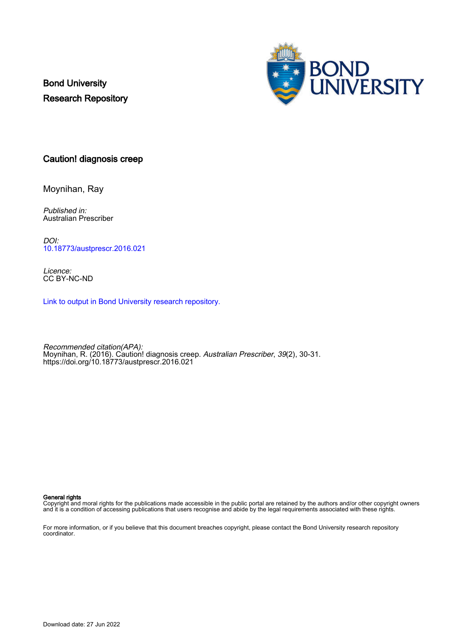Bond University Research Repository



### Caution! diagnosis creep

Moynihan, Ray

Published in: Australian Prescriber

DOI: [10.18773/austprescr.2016.021](https://doi.org/10.18773/austprescr.2016.021)

Licence: CC BY-NC-ND

[Link to output in Bond University research repository.](https://research.bond.edu.au/en/publications/5d6a3b28-c21b-4eb3-b023-06d62e482306)

Recommended citation(APA): Moynihan, R. (2016). Caution! diagnosis creep. *Australian Prescriber, 39*(2), 30-31. <https://doi.org/10.18773/austprescr.2016.021>

#### General rights

Copyright and moral rights for the publications made accessible in the public portal are retained by the authors and/or other copyright owners and it is a condition of accessing publications that users recognise and abide by the legal requirements associated with these rights.

For more information, or if you believe that this document breaches copyright, please contact the Bond University research repository coordinator.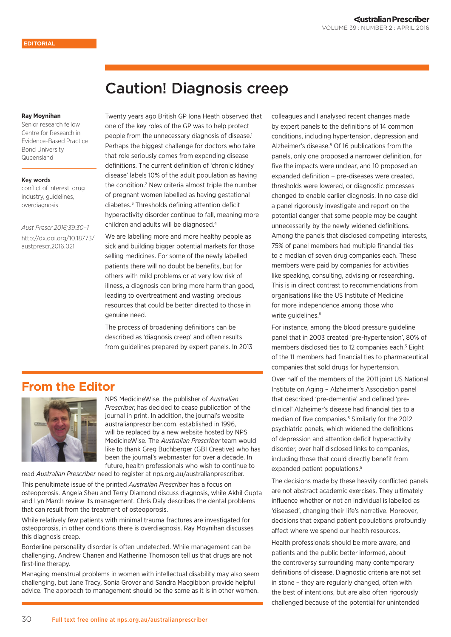# Caution! Diagnosis creep

#### **Ray Moynihan**

Senior research fellow Centre for Research in Evidence-Based Practice Bond University Queensland

#### Key words

conflict of interest, drug industry, guidelines, overdiagnosis

*Aust Prescr 2016;39:30–1* http:/[/dx.doi.org/10.18773/](http://dx.doi.org/10.18773/austprescr.2016.021) [austprescr.2016.021](http://dx.doi.org/10.18773/austprescr.2016.021)

Twenty years ago British GP Iona Heath observed that one of the key roles of the GP was to help protect people from the unnecessary diagnosis of disease.<sup>1</sup> Perhaps the biggest challenge for doctors who take that role seriously comes from expanding disease definitions. The current definition of 'chronic kidney disease' labels 10% of the adult population as having the condition.2 New criteria almost triple the number of pregnant women labelled as having gestational diabetes.3 Thresholds defining attention deficit hyperactivity disorder continue to fall, meaning more children and adults will be diagnosed.4

We are labelling more and more healthy people as sick and building bigger potential markets for those selling medicines. For some of the newly labelled patients there will no doubt be benefits, but for others with mild problems or at very low risk of illness, a diagnosis can bring more harm than good, leading to overtreatment and wasting precious resources that could be better directed to those in genuine need.

The process of broadening definitions can be described as 'diagnosis creep' and often results from guidelines prepared by expert panels. In 2013

colleagues and I analysed recent changes made by expert panels to the definitions of 14 common conditions, including hypertension, depression and Alzheimer's disease.<sup>5</sup> Of 16 publications from the panels, only one proposed a narrower definition, for five the impacts were unclear, and 10 proposed an expanded definition - pre-diseases were created, thresholds were lowered, or diagnostic processes changed to enable earlier diagnosis. In no case did a panel rigorously investigate and report on the potential danger that some people may be caught unnecessarily by the newly widened definitions. Among the panels that disclosed competing interests, 75% of panel members had multiple financial ties to a median of seven drug companies each. These members were paid by companies for activities like speaking, consulting, advising or researching. This is in direct contrast to recommendations from organisations like the US Institute of Medicine for more independence among those who write quidelines.<sup>6</sup>

For instance, among the blood pressure guideline panel that in 2003 created 'pre-hypertension', 80% of members disclosed ties to 12 companies each.<sup>5</sup> Eight of the 11 members had financial ties to pharmaceutical companies that sold drugs for hypertension.

Over half of the members of the 2011 joint US National Institute on Aging – Alzheimer's Association panel that described 'pre-dementia' and defined 'preclinical' Alzheimer's disease had financial ties to a median of five companies.<sup>5</sup> Similarly for the 2012 psychiatric panels, which widened the definitions of depression and attention deficit hyperactivity disorder, over half disclosed links to companies, including those that could directly benefit from expanded patient populations.<sup>5</sup>

The decisions made by these heavily conflicted panels are not abstract academic exercises. They ultimately influence whether or not an individual is labelled as 'diseased', changing their life's narrative. Moreover, decisions that expand patient populations profoundly affect where we spend our health resources.

Health professionals should be more aware, and patients and the public better informed, about the controversy surrounding many contemporary definitions of disease. Diagnostic criteria are not set in stone – they are regularly changed, often with the best of intentions, but are also often rigorously challenged because of the potential for unintended

## **From the Editor**



NPS MedicineWise, the publisher of *Australian Prescriber*, has decided to cease publication of the journal in print. In addition, the journal's website australianprescriber.com, established in 1996, will be replaced by a new website hosted by NPS MedicineWise. The *Australian Prescriber* team would like to thank Greg Buchberger (GBI Creative) who has been the journal's webmaster for over a decade. In future, health professionals who wish to continue to

read *Australian Prescriber* need to register at [nps.org.au/australianprescriber.](http://www.nps.org.au/australianprescriber)

This penultimate issue of the printed *Australian Prescriber* has a focus on osteoporosis. Angela Sheu and Terry Diamond discuss diagnosis, while Akhil Gupta and Lyn March review its management. Chris Daly describes the dental problems that can result from the treatment of osteoporosis.

While relatively few patients with minimal trauma fractures are investigated for osteoporosis, in other conditions there is overdiagnosis. Ray Moynihan discusses this diagnosis creep.

Borderline personality disorder is often undetected. While management can be challenging, Andrew Chanen and Katherine Thompson tell us that drugs are not first-line therapy.

Managing menstrual problems in women with intellectual disability may also seem challenging, but Jane Tracy, Sonia Grover and Sandra Macgibbon provide helpful advice. The approach to management should be the same as it is in other women.